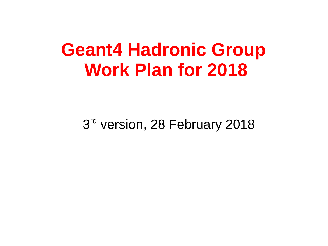# **Geant4 Hadronic Group Work Plan for 2018**

3<sup>rd</sup> version, 28 February 2018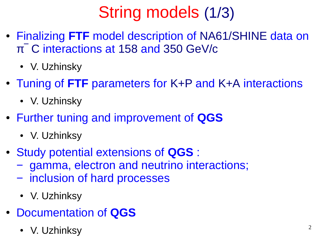# String models (1/3)

- Finalizing **FTF** model description of NA61/SHINE data on π‾ C interactions at 158 and 350 GeV/c
	- V. Uzhinsky
- Tuning of FTF parameters for K+P and K+A interactions
	- V. Uzhinsky
- Further tuning and improvement of **QGS**
	- V. Uzhinksy
- Study potential extensions of **QGS** :
	- − gamma, electron and neutrino interactions;
	- − inclusion of hard processes
	- V. Uzhinksy
- Documentation of **QGS**
	- V. Uzhinksy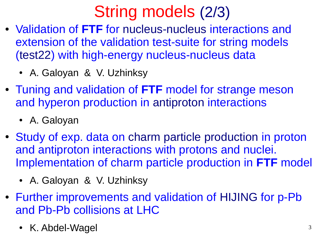## String models (2/3)

- Validation of **FTF** for nucleus-nucleus interactions and extension of the validation test-suite for string models (test22) with high-energy nucleus-nucleus data
	- A. Galoyan & V. Uzhinksy
- Tuning and validation of **FTF** model for strange meson and hyperon production in antiproton interactions
	- A. Galoyan
- Study of exp. data on charm particle production in proton and antiproton interactions with protons and nuclei. Implementation of charm particle production in **FTF** model
	- A. Galoyan & V. Uzhinksy
- Further improvements and validation of HIJING for p-Pb and Pb-Pb collisions at LHC
	- K. Abdel-Wagel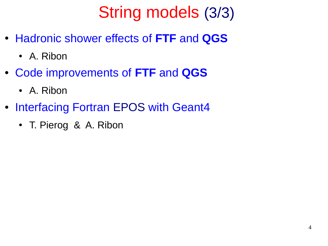# String models (3/3)

- Hadronic shower effects of **FTF** and **QGS**
	- A. Ribon
- Code improvements of **FTF** and **QGS**
	- A. Ribon
- Interfacing Fortran EPOS with Geant4
	- T. Pierog & A. Ribon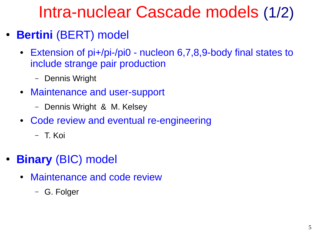#### Intra-nuclear Cascade models (1/2)

- **Bertini** (BERT) model
	- Extension of pi+/pi-/pi0 nucleon 6,7,8,9-body final states to include strange pair production
		- Dennis Wright
	- Maintenance and user-support
		- Dennis Wright & M. Kelsey
	- Code review and eventual re-engineering
		- T. Koi
- **Binary** (BIC) model
	- Maintenance and code review
		- G. Folger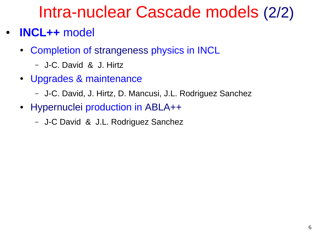#### Intra-nuclear Cascade models (2/2)

- **INCL++** model
	- Completion of strangeness physics in INCL
		- J-C. David & J. Hirtz
	- Upgrades & maintenance
		- J-C. David, J. Hirtz, D. Mancusi, J.L. Rodriguez Sanchez
	- Hypernuclei production in ABLA++
		- J-C David & J.L. Rodriguez Sanchez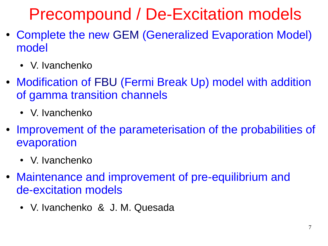## Precompound / De-Excitation models

- Complete the new GEM (Generalized Evaporation Model) model
	- V. Ivanchenko
- Modification of FBU (Fermi Break Up) model with addition of gamma transition channels
	- V. Ivanchenko
- Improvement of the parameterisation of the probabilities of evaporation
	- V. Ivanchenko
- Maintenance and improvement of pre-equilibrium and de-excitation models
	- V. Ivanchenko & J. M. Quesada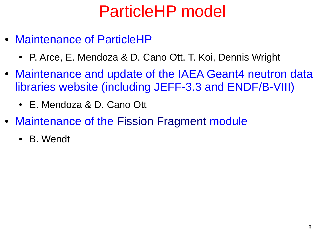## ParticleHP model

- Maintenance of ParticleHP
	- P. Arce, E. Mendoza & D. Cano Ott, T. Koi, Dennis Wright
- Maintenance and update of the IAEA Geant4 neutron data libraries website (including JEFF-3.3 and ENDF/B-VIII)
	- E. Mendoza & D. Cano Ott
- Maintenance of the Fission Fragment module
	- B. Wendt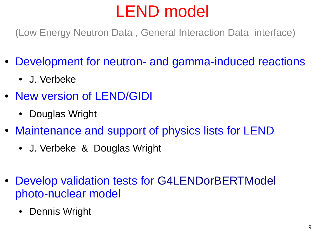# LEND model

(Low Energy Neutron Data , General Interaction Data interface)

- Development for neutron- and gamma-induced reactions
	- J. Verbeke
- New version of LEND/GIDI
	- Douglas Wright
- Maintenance and support of physics lists for LEND
	- J. Verbeke & Douglas Wright
- Develop validation tests for G4LENDorBERTModel photo-nuclear model
	- Dennis Wright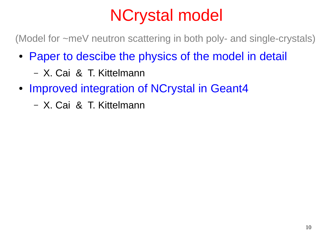## NCrystal model

(Model for ~meV neutron scattering in both poly- and single-crystals)

- Paper to descibe the physics of the model in detail
	- X. Cai & T. Kittelmann
- Improved integration of NCrystal in Geant4
	- X. Cai & T. Kittelmann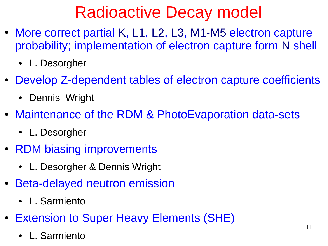## Radioactive Decay model

- More correct partial K, L1, L2, L3, M1-M5 electron capture probability; implementation of electron capture form N shell
	- L. Desorgher
- Develop Z-dependent tables of electron capture coefficients
	- Dennis Wright
- Maintenance of the RDM & PhotoEvaporation data-sets
	- L. Desorgher
- RDM biasing improvements
	- L. Desorgher & Dennis Wright
- Beta-delayed neutron emission
	- L. Sarmiento
- Extension to Super Heavy Elements (SHE)
	- L. Sarmiento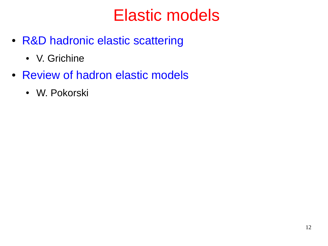#### Elastic models

- R&D hadronic elastic scattering
	- V. Grichine
- Review of hadron elastic models
	- W. Pokorski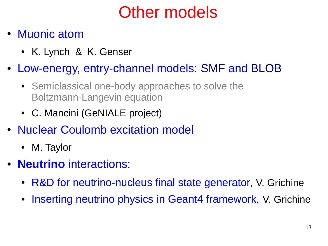# Other models

- Muonic atom
	- K. Lynch & K. Genser
- Low-energy, entry-channel models: SMF and BLOB
	- Semiclassical one-body approaches to solve the Boltzmann-Langevin equation
	- C. Mancini (GeNIALE project)
- Nuclear Coulomb excitation model
	- M. Taylor
- **Neutrino** interactions:
	- R&D for neutrino-nucleus final state generator, V. Grichine
	- Inserting neutrino physics in Geant4 framework, V. Grichine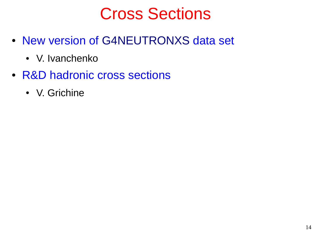#### Cross Sections

- New version of G4NEUTRONXS data set
	- V. Ivanchenko
- R&D hadronic cross sections
	- V. Grichine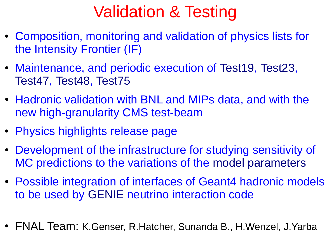## Validation & Testing

- Composition, monitoring and validation of physics lists for the Intensity Frontier (IF)
- Maintenance, and periodic execution of Test19, Test23, Test47, Test48, Test75
- Hadronic validation with BNL and MIPs data, and with the new high-granularity CMS test-beam
- Physics highlights release page
- Development of the infrastructure for studying sensitivity of MC predictions to the variations of the model parameters
- Possible integration of interfaces of Geant4 hadronic models to be used by GENIE neutrino interaction code
- 15 FNAL Team: K.Genser, R.Hatcher, Sunanda B., H.Wenzel, J.Yarba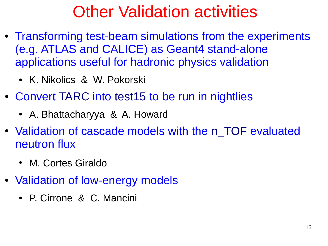## Other Validation activities

- Transforming test-beam simulations from the experiments (e.g. ATLAS and CALICE) as Geant4 stand-alone applications useful for hadronic physics validation
	- K. Nikolics & W. Pokorski
- Convert TARC into test15 to be run in nightlies
	- A. Bhattacharyya & A. Howard
- Validation of cascade models with the n\_TOF evaluated neutron flux
	- M. Cortes Giraldo
- Validation of low-energy models
	- P. Cirrone & C. Mancini